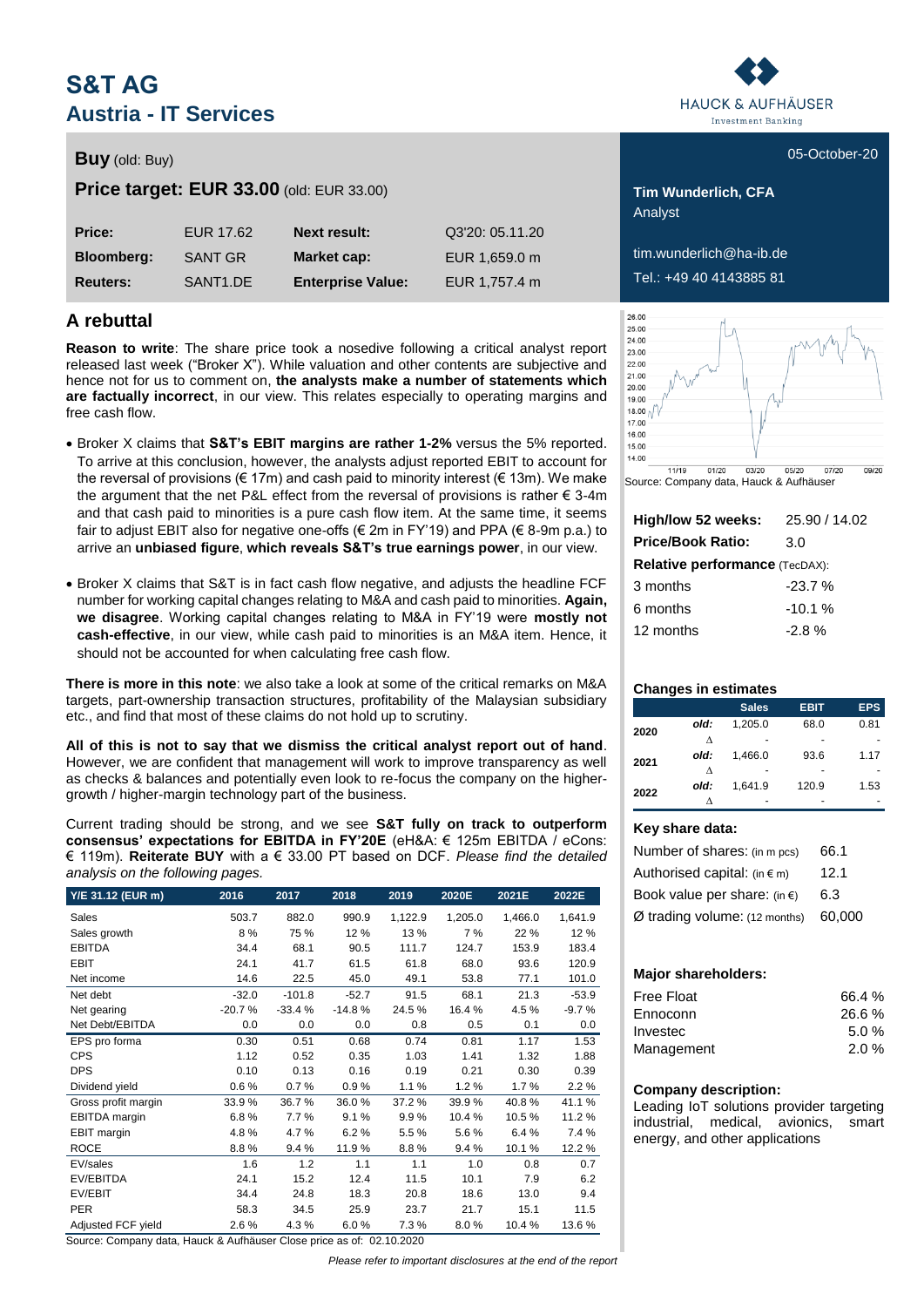# **S&T AG Austria - IT Services**

# **Buy** (old: Buy) **Buy** (old: Buy) **1999**

**Price target: EUR 33.00** (old: EUR 33.00) **Tim Wunderlich, CFA** 

| Price:            | EUR 17.62            | <b>Next result:</b>      | Q3'20: 05.11.20 |
|-------------------|----------------------|--------------------------|-----------------|
| <b>Bloomberg:</b> | SANT GR              | <b>Market cap:</b>       | EUR 1,659.0 m   |
| <b>Reuters:</b>   | SANT <sub>1.DE</sub> | <b>Enterprise Value:</b> | EUR 1,757.4 m   |

# **A rebuttal**

**Reason to write**: The share price took a nosedive following a critical analyst report released last week ("Broker X"). While valuation and other contents are subjective and hence not for us to comment on, **the analysts make a number of statements which are factually incorrect**, in our view. This relates especially to operating margins and free cash flow.

- Broker X claims that **S&T's EBIT margins are rather 1-2%** versus the 5% reported. To arrive at this conclusion, however, the analysts adjust reported EBIT to account for the reversal of provisions ( $\in 17m$ ) and cash paid to minority interest ( $\in 13m$ ). We make the argument that the net P&L effect from the reversal of provisions is rather  $\epsilon$  3-4m and that cash paid to minorities is a pure cash flow item. At the same time, it seems fair to adjust EBIT also for negative one-offs (€ 2m in FY'19) and PPA (€ 8-9m p.a.) to arrive an **unbiased figure**, **which reveals S&T's true earnings power**, in our view.
- Broker X claims that S&T is in fact cash flow negative, and adjusts the headline FCF number for working capital changes relating to M&A and cash paid to minorities. **Again, we disagree**. Working capital changes relating to M&A in FY'19 were **mostly not cash-effective**, in our view, while cash paid to minorities is an M&A item. Hence, it should not be accounted for when calculating free cash flow.

**There is more in this note**: we also take a look at some of the critical remarks on M&A targets, part-ownership transaction structures, profitability of the Malaysian subsidiary etc., and find that most of these claims do not hold up to scrutiny.

**All of this is not to say that we dismiss the critical analyst report out of hand**. However, we are confident that management will work to improve transparency as well as checks & balances and potentially even look to re-focus the company on the highergrowth / higher-margin technology part of the business.

Current trading should be strong, and we see **S&T fully on track to outperform consensus' expectations for EBITDA in FY'20E** (eH&A: € 125m EBITDA / eCons: € 119m). **Reiterate BUY** with a € 33.00 PT based on DCF. *Please find the detailed analysis on the following pages.*

| Y/E 31.12 (EUR m)    | 2016     | 2017     | 2018     | 2019    | 2020E   | 2021E   | 2022E   |
|----------------------|----------|----------|----------|---------|---------|---------|---------|
| Sales                | 503.7    | 882.0    | 990.9    | 1,122.9 | 1,205.0 | 1,466.0 | 1,641.9 |
| Sales growth         | 8%       | 75 %     | 12%      | 13 %    | 7 %     | 22 %    | 12%     |
| <b>EBITDA</b>        | 34.4     | 68.1     | 90.5     | 111.7   | 124.7   | 153.9   | 183.4   |
| <b>EBIT</b>          | 24.1     | 41.7     | 61.5     | 61.8    | 68.0    | 93.6    | 120.9   |
| Net income           | 14.6     | 22.5     | 45.0     | 49.1    | 53.8    | 77.1    | 101.0   |
| Net debt             | $-32.0$  | $-101.8$ | $-52.7$  | 91.5    | 68.1    | 21.3    | $-53.9$ |
| Net gearing          | $-20.7%$ | $-33.4%$ | $-14.8%$ | 24.5%   | 16.4%   | 4.5%    | $-9.7%$ |
| Net Debt/EBITDA      | 0.0      | 0.0      | 0.0      | 0.8     | 0.5     | 0.1     | 0.0     |
| EPS pro forma        | 0.30     | 0.51     | 0.68     | 0.74    | 0.81    | 1.17    | 1.53    |
| <b>CPS</b>           | 1.12     | 0.52     | 0.35     | 1.03    | 1.41    | 1.32    | 1.88    |
| <b>DPS</b>           | 0.10     | 0.13     | 0.16     | 0.19    | 0.21    | 0.30    | 0.39    |
| Dividend yield       | 0.6%     | 0.7%     | 0.9%     | 1.1%    | 1.2%    | 1.7%    | 2.2%    |
| Gross profit margin  | 33.9%    | 36.7%    | 36.0%    | 37.2%   | 39.9%   | 40.8%   | 41.1%   |
| <b>EBITDA</b> margin | 6.8%     | 7.7%     | 9.1%     | 9.9%    | 10.4%   | 10.5%   | 11.2%   |
| EBIT margin          | 4.8%     | 4.7%     | 6.2%     | 5.5%    | 5.6%    | 6.4%    | 7.4 %   |
| <b>ROCE</b>          | 8.8%     | 9.4%     | 11.9%    | 8.8%    | 9.4%    | 10.1%   | 12.2%   |
| EV/sales             | 1.6      | 1.2      | 1.1      | 1.1     | 1.0     | 0.8     | 0.7     |
| EV/EBITDA            | 24.1     | 15.2     | 12.4     | 11.5    | 10.1    | 7.9     | 6.2     |
| EV/EBIT              | 34.4     | 24.8     | 18.3     | 20.8    | 18.6    | 13.0    | 9.4     |
| <b>PER</b>           | 58.3     | 34.5     | 25.9     | 23.7    | 21.7    | 15.1    | 11.5    |
| Adjusted FCF yield   | 2.6%     | 4.3%     | 6.0%     | 7.3%    | 8.0%    | 10.4%   | 13.6%   |

Source: Company data, Hauck & Aufhäuser Close price as of: 02.10.2020

*Please refer to important disclosures at the end of the report*



Analyst

 $\lim_{\alpha}$  wunderlich@ha-ib.de **Reuters:** SANT1.DE **Enterprise Value:** EUR 1,757.4 m Tel.: +49 40 4143885 81



Source: Company data, Hauck & Aufhäuser

| High/low 52 weeks:                    | 25.90 / 14.02 |  |  |  |  |  |  |  |
|---------------------------------------|---------------|--|--|--|--|--|--|--|
| <b>Price/Book Ratio:</b>              | 3.0           |  |  |  |  |  |  |  |
| <b>Relative performance (TecDAX):</b> |               |  |  |  |  |  |  |  |
| 3 months                              | $-23.7%$      |  |  |  |  |  |  |  |
| 6 months                              | $-10.1%$      |  |  |  |  |  |  |  |
| 12 months                             | $-2.8%$       |  |  |  |  |  |  |  |

## **Changes in estimates**

|      |      | <b>Sales</b> | <b>EBIT</b> | <b>EPS</b> |
|------|------|--------------|-------------|------------|
| 2020 | old: | 1.205.0      | 68.0        | 0.81       |
|      | л    |              |             |            |
| 2021 | old: | 1.466.0      | 93.6        | 1.17       |
|      | л    |              |             |            |
|      | old: | 1,641.9      | 120.9       | 1.53       |
| 2022 |      |              |             |            |

## **Key share data:**

| Number of shares: (in m pcs)           | 66.1   |
|----------------------------------------|--------|
| Authorised capital: $(in \in m)$       | 12.1   |
| Book value per share: (in $\epsilon$ ) | 6.3    |
| Ø trading volume: (12 months)          | 60.000 |

## **Major shareholders:**

| 66.4 % |
|--------|
| 26.6%  |
| 5.0%   |
| 2.0%   |
|        |

## **Company description:**

Leading IoT solutions provider targeting industrial, medical, avionics, smart energy, and other applications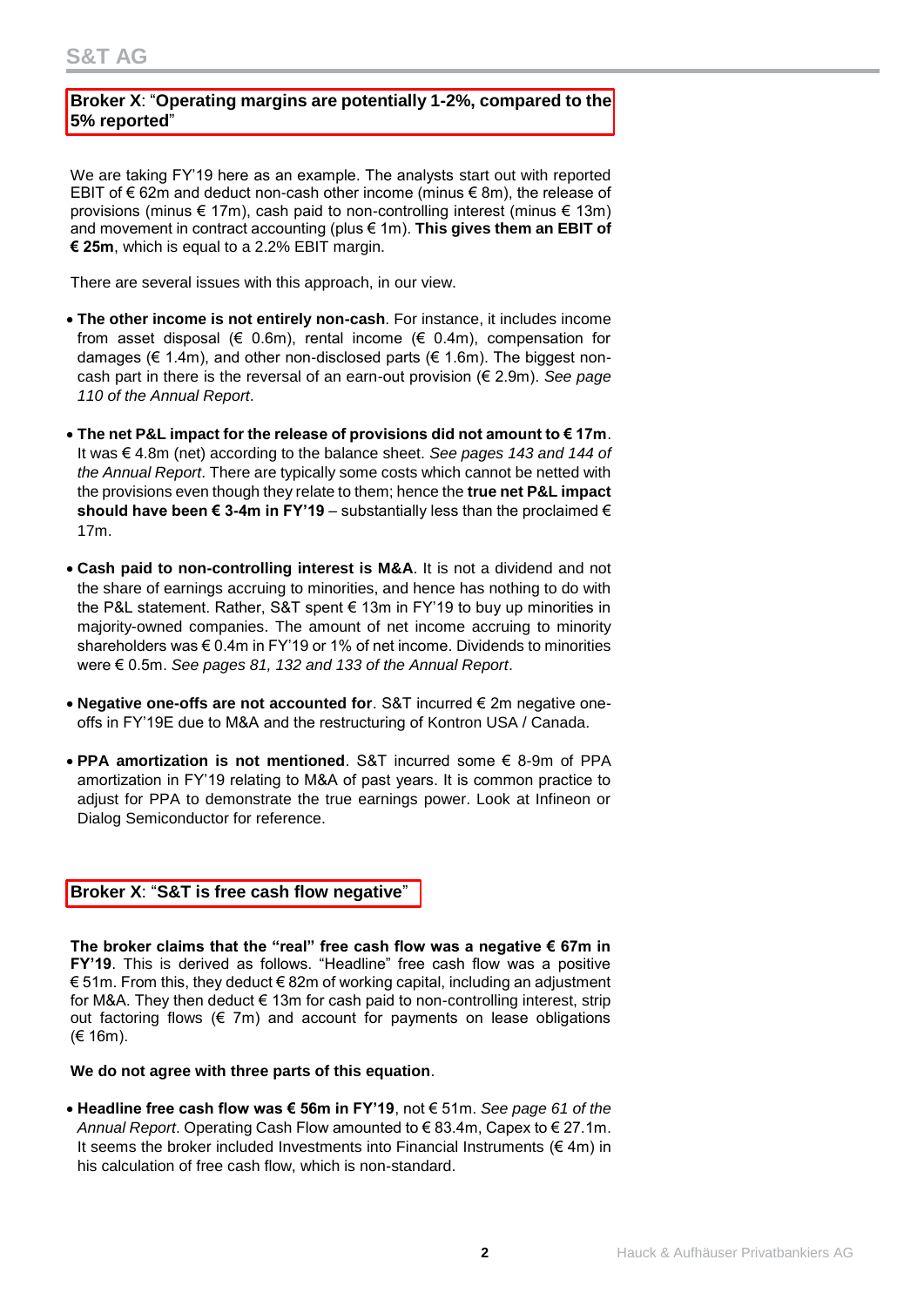# **Broker X**: "**Operating margins are potentially 1-2%, compared to the 5% reported**"

We are taking FY'19 here as an example. The analysts start out with reported EBIT of € 62m and deduct non-cash other income (minus € 8m), the release of provisions (minus € 17m), cash paid to non-controlling interest (minus € 13m) and movement in contract accounting (plus € 1m). **This gives them an EBIT of € 25m**, which is equal to a 2.2% EBIT margin.

There are several issues with this approach, in our view.

- **The other income is not entirely non-cash**. For instance, it includes income from asset disposal ( $\in$  0.6m), rental income ( $\in$  0.4m), compensation for damages ( $\epsilon$  1.4m), and other non-disclosed parts ( $\epsilon$  1.6m). The biggest noncash part in there is the reversal of an earn-out provision (€ 2.9m). *See page 110 of the Annual Report*.
- **The net P&L impact for the release of provisions did not amount to € 17m**. It was € 4.8m (net) according to the balance sheet. *See pages 143 and 144 of the Annual Report*. There are typically some costs which cannot be netted with the provisions even though they relate to them; hence the **true net P&L impact should have been € 3-4m in FY'19** – substantially less than the proclaimed € 17m.
- **Cash paid to non-controlling interest is M&A**. It is not a dividend and not the share of earnings accruing to minorities, and hence has nothing to do with the P&L statement. Rather, S&T spent € 13m in FY'19 to buy up minorities in majority-owned companies. The amount of net income accruing to minority shareholders was € 0.4m in FY'19 or 1% of net income. Dividends to minorities were € 0.5m. *See pages 81, 132 and 133 of the Annual Report*.
- **Negative one-offs are not accounted for**. S&T incurred € 2m negative oneoffs in FY'19E due to M&A and the restructuring of Kontron USA / Canada.
- **PPA amortization is not mentioned**. S&T incurred some € 8-9m of PPA amortization in FY'19 relating to M&A of past years. It is common practice to adjust for PPA to demonstrate the true earnings power. Look at Infineon or Dialog Semiconductor for reference.

## **Broker X**: "**S&T is free cash flow negative**"

**The broker claims that the "real" free cash flow was a negative € 67m in FY'19**. This is derived as follows. "Headline" free cash flow was a positive € 51m. From this, they deduct € 82m of working capital, including an adjustment for M&A. They then deduct € 13m for cash paid to non-controlling interest, strip out factoring flows  $(\epsilon \tau)$  and account for payments on lease obligations (€ 16m).

**We do not agree with three parts of this equation**.

 **Headline free cash flow was € 56m in FY'19**, not € 51m. *See page 61 of the Annual Report*. Operating Cash Flow amounted to € 83.4m, Capex to € 27.1m. It seems the broker included Investments into Financial Instruments ( $\notin$  4m) in his calculation of free cash flow, which is non-standard.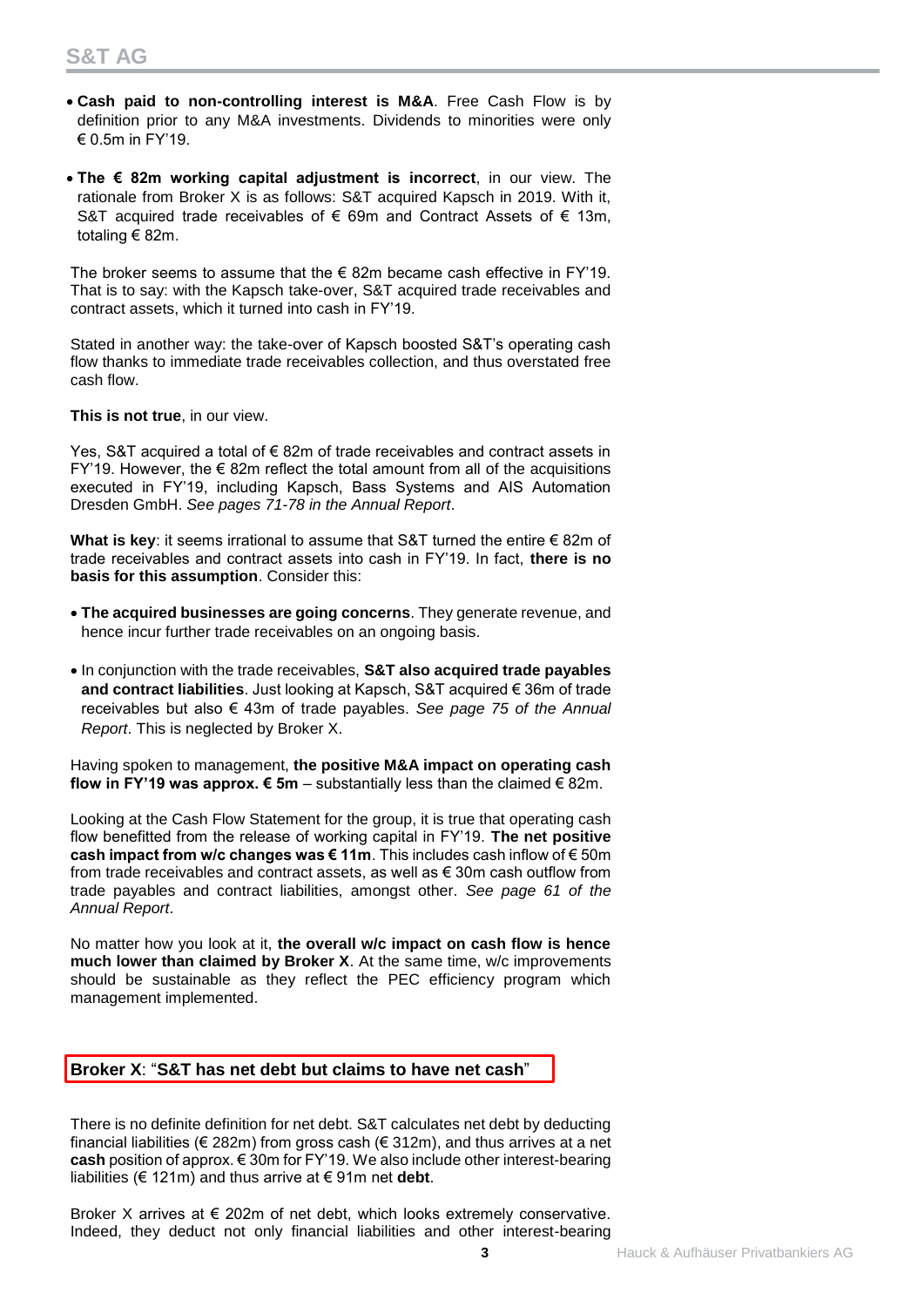- **Cash paid to non-controlling interest is M&A**. Free Cash Flow is by definition prior to any M&A investments. Dividends to minorities were only € 0.5m in FY'19.
- **The € 82m working capital adjustment is incorrect**, in our view. The rationale from Broker X is as follows: S&T acquired Kapsch in 2019. With it, S&T acquired trade receivables of € 69m and Contract Assets of € 13m. totaling € 82m.

The broker seems to assume that the  $\epsilon$  82m became cash effective in FY'19. That is to say: with the Kapsch take-over, S&T acquired trade receivables and contract assets, which it turned into cash in FY'19.

Stated in another way: the take-over of Kapsch boosted S&T's operating cash flow thanks to immediate trade receivables collection, and thus overstated free cash flow.

**This is not true**, in our view.

Yes, S&T acquired a total of € 82m of trade receivables and contract assets in  $FY'19.$  However, the  $\in$  82m reflect the total amount from all of the acquisitions executed in FY'19, including Kapsch, Bass Systems and AIS Automation Dresden GmbH. *See pages 71-78 in the Annual Report*.

**What is key**: it seems irrational to assume that S&T turned the entire € 82m of trade receivables and contract assets into cash in FY'19. In fact, **there is no basis for this assumption**. Consider this:

- **The acquired businesses are going concerns**. They generate revenue, and hence incur further trade receivables on an ongoing basis.
- In conjunction with the trade receivables, **S&T also acquired trade payables and contract liabilities**. Just looking at Kapsch, S&T acquired € 36m of trade receivables but also € 43m of trade payables. *See page 75 of the Annual Report*. This is neglected by Broker X.

Having spoken to management, **the positive M&A impact on operating cash flow in FY'19 was approx.**  $€ 5m -$  **substantially less than the claimed**  $€ 82m$ **.** 

Looking at the Cash Flow Statement for the group, it is true that operating cash flow benefitted from the release of working capital in FY'19. **The net positive cash impact from w/c changes was € 11m**. This includes cash inflow of € 50m from trade receivables and contract assets, as well as  $\epsilon$  30m cash outflow from trade payables and contract liabilities, amongst other. *See page 61 of the Annual Report*.

No matter how you look at it, **the overall w/c impact on cash flow is hence much lower than claimed by Broker X**. At the same time, w/c improvements should be sustainable as they reflect the PEC efficiency program which management implemented.

## **Broker X**: "**S&T has net debt but claims to have net cash**"

There is no definite definition for net debt. S&T calculates net debt by deducting financial liabilities ( $\in$  282m) from gross cash ( $\in$  312m), and thus arrives at a net **cash** position of approx. € 30m for FY'19. We also include other interest-bearing liabilities (€ 121m) and thus arrive at € 91m net **debt**.

Broker X arrives at  $\epsilon$  202m of net debt, which looks extremely conservative. Indeed, they deduct not only financial liabilities and other interest-bearing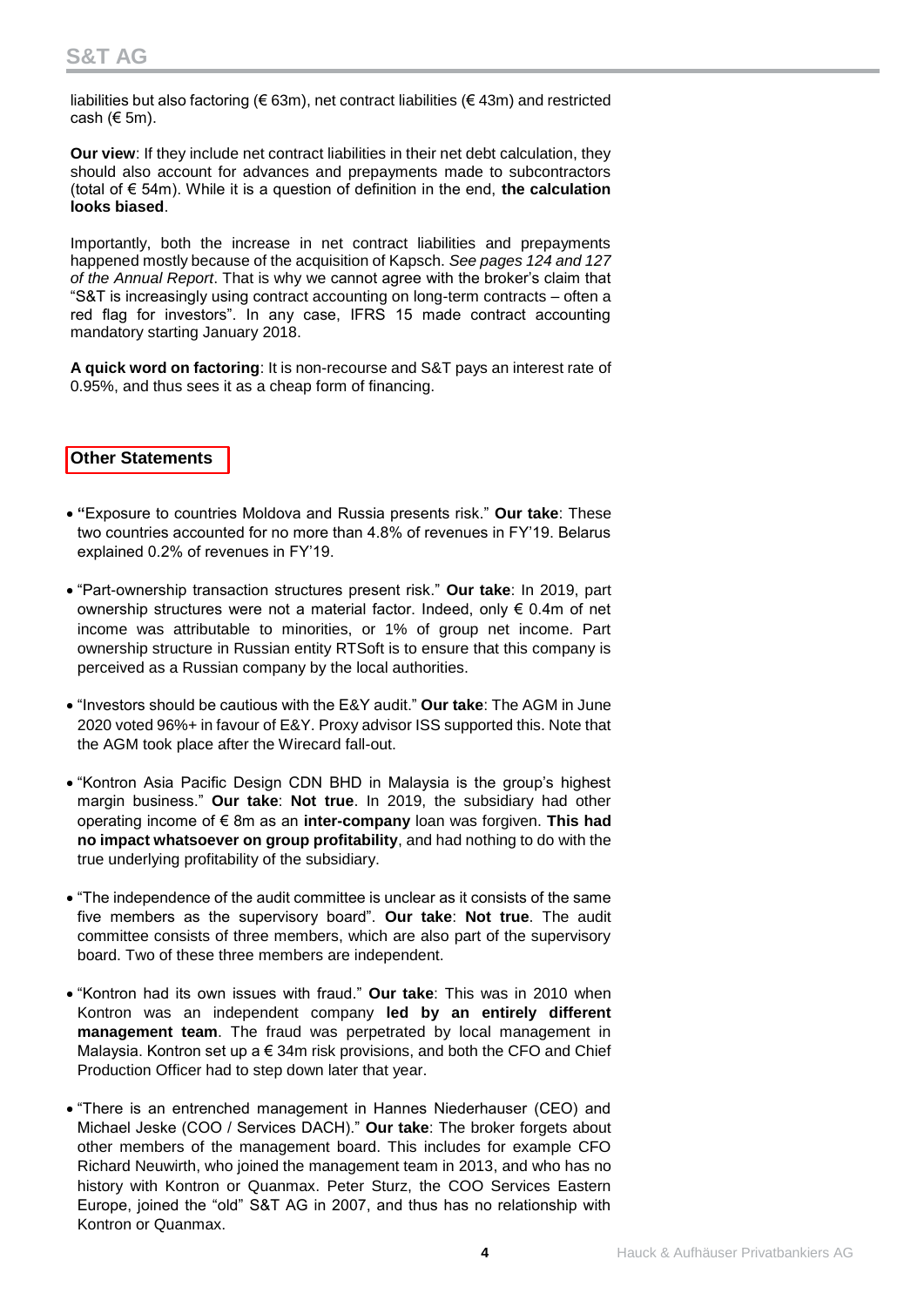liabilities but also factoring (€ 63m), net contract liabilities (€ 43m) and restricted cash ( $6$  5m).

**Our view**: If they include net contract liabilities in their net debt calculation, they should also account for advances and prepayments made to subcontractors (total of € 54m). While it is a question of definition in the end, **the calculation looks biased**.

Importantly, both the increase in net contract liabilities and prepayments happened mostly because of the acquisition of Kapsch. *See pages 124 and 127 of the Annual Report*. That is why we cannot agree with the broker's claim that "S&T is increasingly using contract accounting on long-term contracts – often a red flag for investors". In any case, IFRS 15 made contract accounting mandatory starting January 2018.

**A quick word on factoring**: It is non-recourse and S&T pays an interest rate of 0.95%, and thus sees it as a cheap form of financing.

## **Other Statements**

- **"**Exposure to countries Moldova and Russia presents risk." **Our take**: These two countries accounted for no more than 4.8% of revenues in FY'19. Belarus explained 0.2% of revenues in FY'19.
- "Part-ownership transaction structures present risk." **Our take**: In 2019, part ownership structures were not a material factor. Indeed, only € 0.4m of net income was attributable to minorities, or 1% of group net income. Part ownership structure in Russian entity RTSoft is to ensure that this company is perceived as a Russian company by the local authorities.
- "Investors should be cautious with the E&Y audit." **Our take**: The AGM in June 2020 voted 96%+ in favour of E&Y. Proxy advisor ISS supported this. Note that the AGM took place after the Wirecard fall-out.
- "Kontron Asia Pacific Design CDN BHD in Malaysia is the group's highest margin business." **Our take**: **Not true**. In 2019, the subsidiary had other operating income of € 8m as an **inter-company** loan was forgiven. **This had no impact whatsoever on group profitability**, and had nothing to do with the true underlying profitability of the subsidiary.
- "The independence of the audit committee is unclear as it consists of the same five members as the supervisory board". **Our take**: **Not true**. The audit committee consists of three members, which are also part of the supervisory board. Two of these three members are independent.
- "Kontron had its own issues with fraud." **Our take**: This was in 2010 when Kontron was an independent company **led by an entirely different management team**. The fraud was perpetrated by local management in Malaysia. Kontron set up a € 34m risk provisions, and both the CFO and Chief Production Officer had to step down later that year.
- "There is an entrenched management in Hannes Niederhauser (CEO) and Michael Jeske (COO / Services DACH)." **Our take**: The broker forgets about other members of the management board. This includes for example CFO Richard Neuwirth, who joined the management team in 2013, and who has no history with Kontron or Quanmax. Peter Sturz, the COO Services Eastern Europe, joined the "old" S&T AG in 2007, and thus has no relationship with Kontron or Quanmax.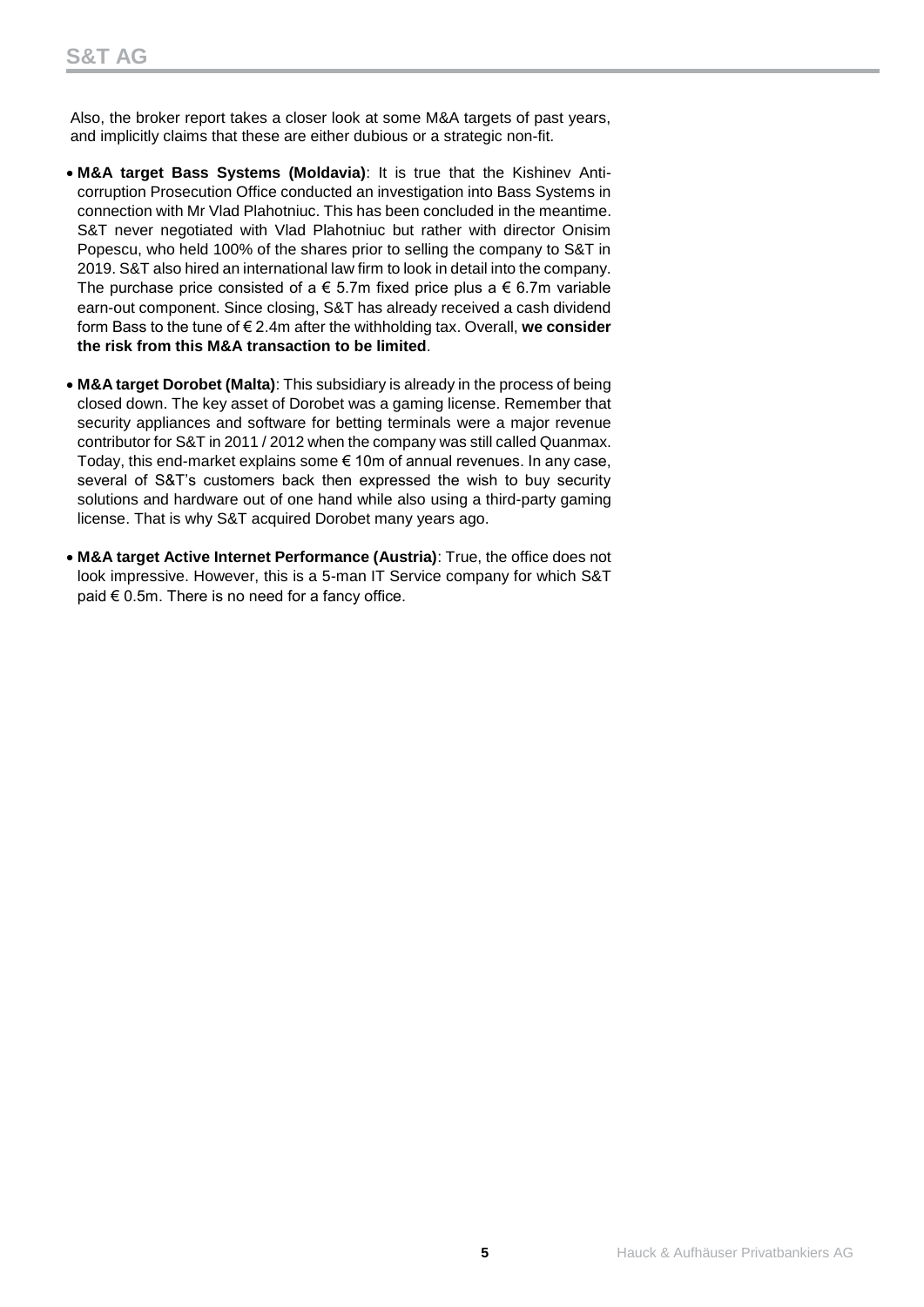Also, the broker report takes a closer look at some M&A targets of past years, and implicitly claims that these are either dubious or a strategic non-fit.

- **M&A target Bass Systems (Moldavia)**: It is true that the Kishinev Anticorruption Prosecution Office conducted an investigation into Bass Systems in connection with Mr Vlad Plahotniuc. This has been concluded in the meantime. S&T never negotiated with Vlad Plahotniuc but rather with director Onisim Popescu, who held 100% of the shares prior to selling the company to S&T in 2019. S&T also hired an international law firm to look in detail into the company. The purchase price consisted of a  $\epsilon$  5.7m fixed price plus a  $\epsilon$  6.7m variable earn-out component. Since closing, S&T has already received a cash dividend form Bass to the tune of € 2.4m after the withholding tax. Overall, **we consider the risk from this M&A transaction to be limited**.
- **M&A target Dorobet (Malta)**: This subsidiary is already in the process of being closed down. The key asset of Dorobet was a gaming license. Remember that security appliances and software for betting terminals were a major revenue contributor for S&T in 2011 / 2012 when the company was still called Quanmax. Today, this end-market explains some  $\epsilon$  10m of annual revenues. In any case, several of S&T's customers back then expressed the wish to buy security solutions and hardware out of one hand while also using a third-party gaming license. That is why S&T acquired Dorobet many years ago.
- **M&A target Active Internet Performance (Austria)**: True, the office does not look impressive. However, this is a 5-man IT Service company for which S&T paid  $€ 0.5$ m. There is no need for a fancy office.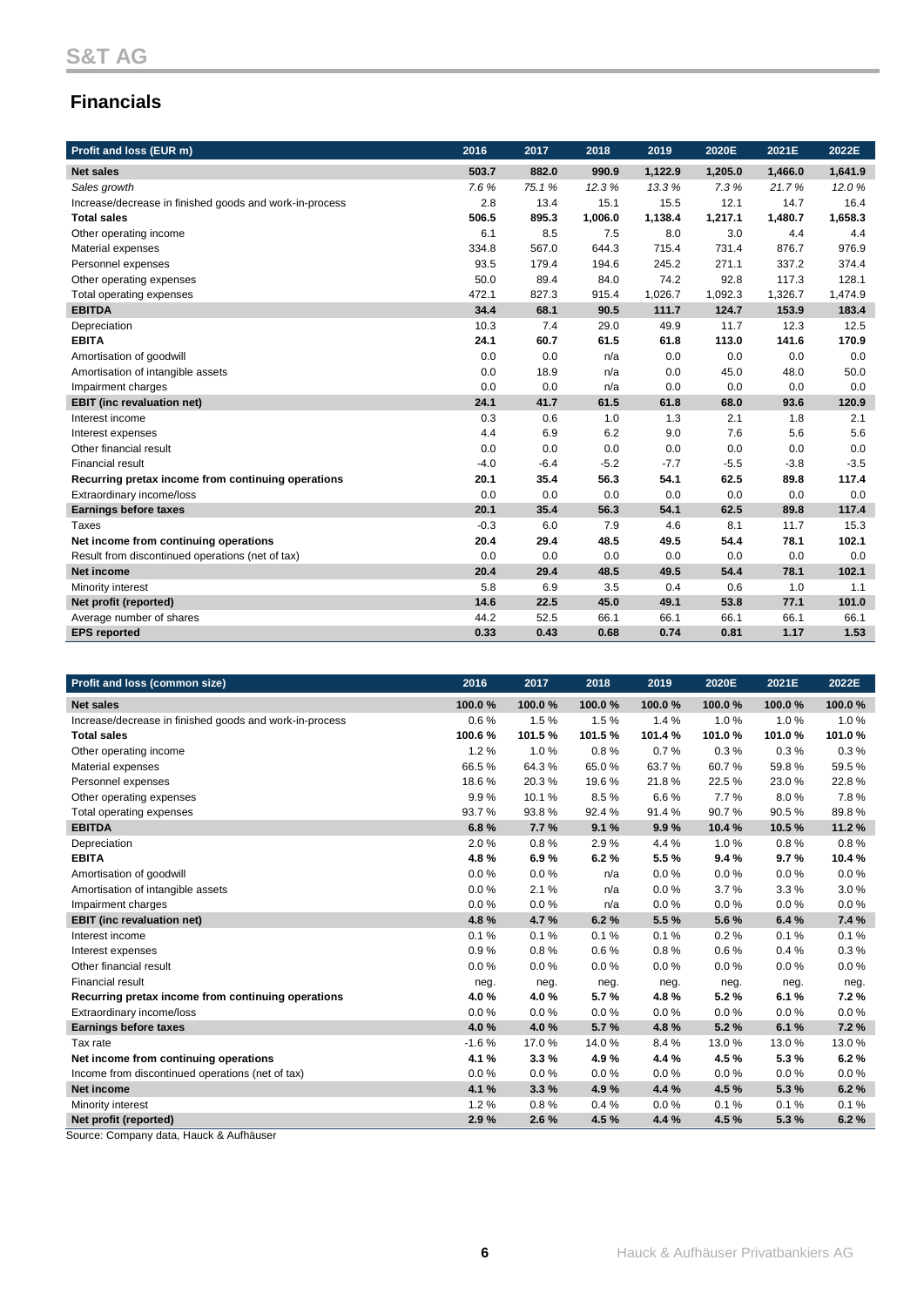# **Financials**

| Profit and loss (EUR m)                                 | 2016   | 2017   | 2018    | 2019    | 2020E   | 2021E   | 2022E   |
|---------------------------------------------------------|--------|--------|---------|---------|---------|---------|---------|
| <b>Net sales</b>                                        | 503.7  | 882.0  | 990.9   | 1,122.9 | 1,205.0 | 1,466.0 | 1,641.9 |
| Sales growth                                            | 7.6%   | 75.1%  | 12.3%   | 13.3%   | 7.3%    | 21.7%   | 12.0%   |
| Increase/decrease in finished goods and work-in-process | 2.8    | 13.4   | 15.1    | 15.5    | 12.1    | 14.7    | 16.4    |
| <b>Total sales</b>                                      | 506.5  | 895.3  | 1,006.0 | 1,138.4 | 1,217.1 | 1,480.7 | 1,658.3 |
| Other operating income                                  | 6.1    | 8.5    | 7.5     | 8.0     | 3.0     | 4.4     | 4.4     |
| Material expenses                                       | 334.8  | 567.0  | 644.3   | 715.4   | 731.4   | 876.7   | 976.9   |
| Personnel expenses                                      | 93.5   | 179.4  | 194.6   | 245.2   | 271.1   | 337.2   | 374.4   |
| Other operating expenses                                | 50.0   | 89.4   | 84.0    | 74.2    | 92.8    | 117.3   | 128.1   |
| Total operating expenses                                | 472.1  | 827.3  | 915.4   | 1,026.7 | 1,092.3 | 1,326.7 | 1,474.9 |
| <b>EBITDA</b>                                           | 34.4   | 68.1   | 90.5    | 111.7   | 124.7   | 153.9   | 183.4   |
| Depreciation                                            | 10.3   | 7.4    | 29.0    | 49.9    | 11.7    | 12.3    | 12.5    |
| <b>EBITA</b>                                            | 24.1   | 60.7   | 61.5    | 61.8    | 113.0   | 141.6   | 170.9   |
| Amortisation of goodwill                                | 0.0    | 0.0    | n/a     | 0.0     | 0.0     | 0.0     | 0.0     |
| Amortisation of intangible assets                       | 0.0    | 18.9   | n/a     | 0.0     | 45.0    | 48.0    | 50.0    |
| Impairment charges                                      | 0.0    | 0.0    | n/a     | 0.0     | 0.0     | 0.0     | 0.0     |
| <b>EBIT</b> (inc revaluation net)                       | 24.1   | 41.7   | 61.5    | 61.8    | 68.0    | 93.6    | 120.9   |
| Interest income                                         | 0.3    | 0.6    | 1.0     | 1.3     | 2.1     | 1.8     | 2.1     |
| Interest expenses                                       | 4.4    | 6.9    | 6.2     | 9.0     | 7.6     | 5.6     | 5.6     |
| Other financial result                                  | 0.0    | 0.0    | 0.0     | 0.0     | 0.0     | 0.0     | 0.0     |
| <b>Financial result</b>                                 | $-4.0$ | $-6.4$ | $-5.2$  | $-7.7$  | $-5.5$  | $-3.8$  | $-3.5$  |
| Recurring pretax income from continuing operations      | 20.1   | 35.4   | 56.3    | 54.1    | 62.5    | 89.8    | 117.4   |
| Extraordinary income/loss                               | 0.0    | 0.0    | 0.0     | 0.0     | 0.0     | 0.0     | 0.0     |
| <b>Earnings before taxes</b>                            | 20.1   | 35.4   | 56.3    | 54.1    | 62.5    | 89.8    | 117.4   |
| <b>Taxes</b>                                            | $-0.3$ | 6.0    | 7.9     | 4.6     | 8.1     | 11.7    | 15.3    |
| Net income from continuing operations                   | 20.4   | 29.4   | 48.5    | 49.5    | 54.4    | 78.1    | 102.1   |
| Result from discontinued operations (net of tax)        | 0.0    | 0.0    | 0.0     | 0.0     | 0.0     | 0.0     | 0.0     |
| <b>Net income</b>                                       | 20.4   | 29.4   | 48.5    | 49.5    | 54.4    | 78.1    | 102.1   |
| Minority interest                                       | 5.8    | 6.9    | 3.5     | 0.4     | 0.6     | 1.0     | 1.1     |
| Net profit (reported)                                   | 14.6   | 22.5   | 45.0    | 49.1    | 53.8    | 77.1    | 101.0   |
| Average number of shares                                | 44.2   | 52.5   | 66.1    | 66.1    | 66.1    | 66.1    | 66.1    |
| <b>EPS</b> reported                                     | 0.33   | 0.43   | 0.68    | 0.74    | 0.81    | 1.17    | 1.53    |

| Profit and loss (common size)                           | 2016    | 2017   | 2018   | 2019    | 2020E  | 2021E    | 2022E  |
|---------------------------------------------------------|---------|--------|--------|---------|--------|----------|--------|
| <b>Net sales</b>                                        | 100.0%  | 100.0% | 100.0% | 100.0%  | 100.0% | 100.0%   | 100.0% |
| Increase/decrease in finished goods and work-in-process | 0.6%    | 1.5%   | 1.5%   | 1.4%    | 1.0%   | 1.0%     | 1.0%   |
| <b>Total sales</b>                                      | 100.6%  | 101.5% | 101.5% | 101.4 % | 101.0% | 101.0%   | 101.0% |
| Other operating income                                  | 1.2%    | 1.0%   | 0.8%   | 0.7%    | 0.3%   | 0.3%     | 0.3%   |
| Material expenses                                       | 66.5%   | 64.3%  | 65.0%  | 63.7%   | 60.7%  | 59.8%    | 59.5%  |
| Personnel expenses                                      | 18.6%   | 20.3%  | 19.6%  | 21.8%   | 22.5%  | 23.0%    | 22.8%  |
| Other operating expenses                                | 9.9%    | 10.1%  | 8.5%   | 6.6%    | 7.7%   | 8.0%     | 7.8%   |
| Total operating expenses                                | 93.7%   | 93.8%  | 92.4 % | 91.4%   | 90.7%  | 90.5%    | 89.8%  |
| <b>EBITDA</b>                                           | 6.8%    | 7.7%   | 9.1%   | 9.9%    | 10.4%  | 10.5%    | 11.2%  |
| Depreciation                                            | 2.0%    | 0.8%   | 2.9%   | 4.4 %   | 1.0%   | 0.8%     | 0.8%   |
| <b>EBITA</b>                                            | 4.8%    | 6.9%   | 6.2%   | 5.5%    | 9.4%   | 9.7%     | 10.4%  |
| Amortisation of goodwill                                | 0.0%    | 0.0%   | n/a    | 0.0%    | 0.0%   | 0.0%     | 0.0%   |
| Amortisation of intangible assets                       | 0.0%    | 2.1%   | n/a    | 0.0%    | 3.7%   | 3.3%     | 3.0%   |
| Impairment charges                                      | 0.0%    | 0.0%   | n/a    | 0.0%    | 0.0%   | $0.0 \%$ | 0.0%   |
| <b>EBIT</b> (inc revaluation net)                       | 4.8%    | 4.7%   | 6.2%   | 5.5%    | 5.6%   | 6.4%     | 7.4 %  |
| Interest income                                         | 0.1%    | 0.1%   | 0.1%   | 0.1%    | 0.2%   | 0.1%     | 0.1%   |
| Interest expenses                                       | 0.9%    | 0.8%   | 0.6%   | 0.8%    | 0.6%   | 0.4%     | 0.3%   |
| Other financial result                                  | 0.0%    | 0.0%   | 0.0%   | 0.0%    | 0.0%   | 0.0%     | 0.0%   |
| <b>Financial result</b>                                 | neg.    | neg.   | neg.   | neg.    | neg.   | neg.     | neg.   |
| Recurring pretax income from continuing operations      | 4.0%    | 4.0%   | 5.7%   | 4.8%    | 5.2%   | 6.1%     | 7.2%   |
| Extraordinary income/loss                               | 0.0%    | 0.0%   | 0.0%   | 0.0%    | 0.0%   | 0.0%     | 0.0%   |
| <b>Earnings before taxes</b>                            | 4.0%    | 4.0%   | 5.7%   | 4.8%    | 5.2%   | 6.1%     | 7.2%   |
| Tax rate                                                | $-1.6%$ | 17.0%  | 14.0%  | 8.4%    | 13.0%  | 13.0%    | 13.0%  |
| Net income from continuing operations                   | 4.1%    | 3.3%   | 4.9%   | 4.4 %   | 4.5%   | 5.3%     | 6.2%   |
| Income from discontinued operations (net of tax)        | 0.0%    | 0.0%   | 0.0%   | 0.0%    | 0.0%   | 0.0%     | 0.0%   |
| Net income                                              | 4.1 %   | 3.3%   | 4.9%   | 4.4 %   | 4.5 %  | 5.3%     | 6.2%   |
| Minority interest                                       | 1.2%    | 0.8%   | 0.4%   | 0.0%    | 0.1%   | 0.1%     | 0.1%   |
| Net profit (reported)                                   | 2.9%    | 2.6%   | 4.5%   | 4.4 %   | 4.5%   | 5.3%     | 6.2%   |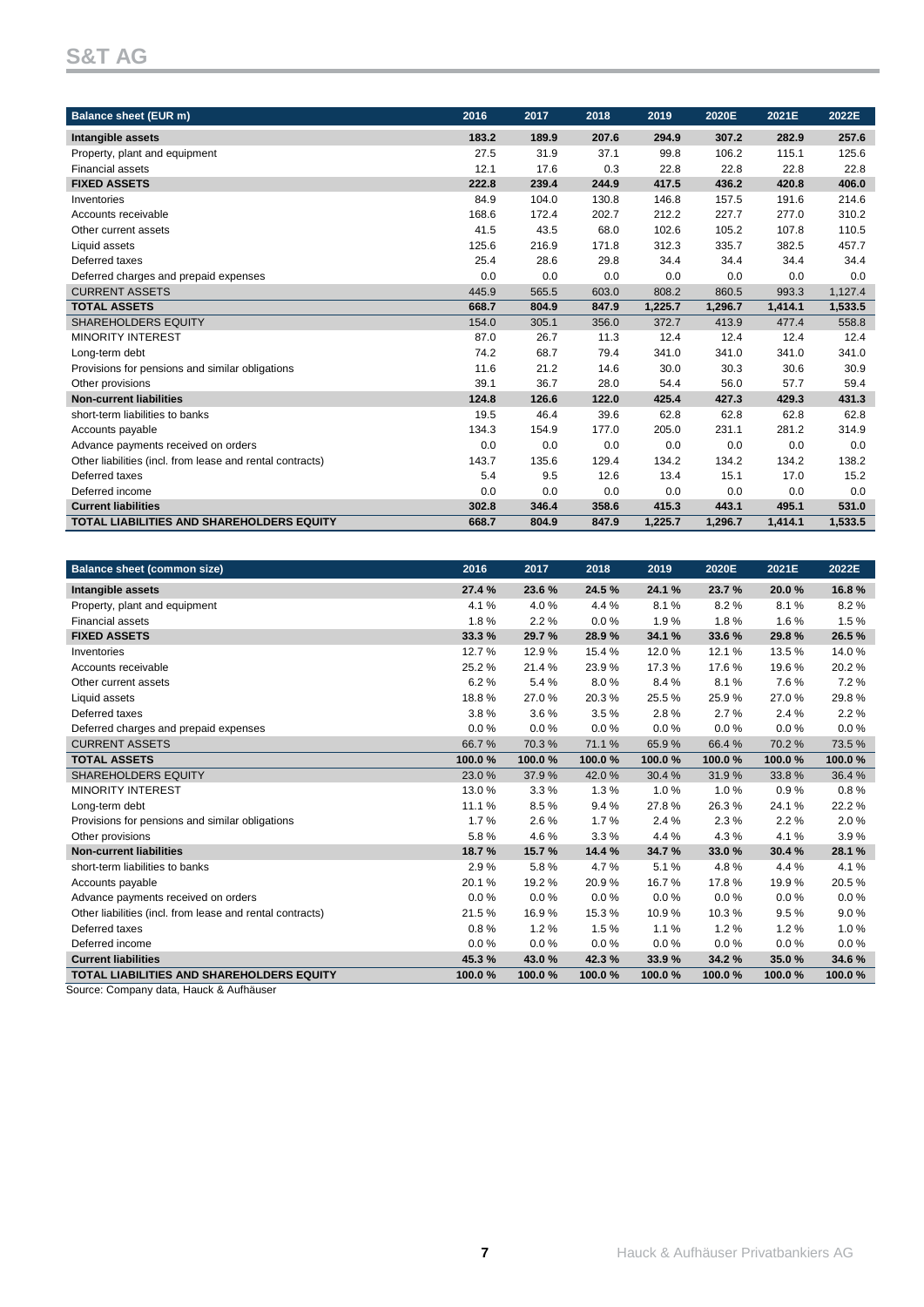# **S&T AG**

| <b>Balance sheet (EUR m)</b>                              | 2016  | 2017  | 2018  | 2019    | 2020E   | 2021E   | 2022E   |
|-----------------------------------------------------------|-------|-------|-------|---------|---------|---------|---------|
| Intangible assets                                         | 183.2 | 189.9 | 207.6 | 294.9   | 307.2   | 282.9   | 257.6   |
| Property, plant and equipment                             | 27.5  | 31.9  | 37.1  | 99.8    | 106.2   | 115.1   | 125.6   |
| <b>Financial assets</b>                                   | 12.1  | 17.6  | 0.3   | 22.8    | 22.8    | 22.8    | 22.8    |
| <b>FIXED ASSETS</b>                                       | 222.8 | 239.4 | 244.9 | 417.5   | 436.2   | 420.8   | 406.0   |
| Inventories                                               | 84.9  | 104.0 | 130.8 | 146.8   | 157.5   | 191.6   | 214.6   |
| Accounts receivable                                       | 168.6 | 172.4 | 202.7 | 212.2   | 227.7   | 277.0   | 310.2   |
| Other current assets                                      | 41.5  | 43.5  | 68.0  | 102.6   | 105.2   | 107.8   | 110.5   |
| Liquid assets                                             | 125.6 | 216.9 | 171.8 | 312.3   | 335.7   | 382.5   | 457.7   |
| Deferred taxes                                            | 25.4  | 28.6  | 29.8  | 34.4    | 34.4    | 34.4    | 34.4    |
| Deferred charges and prepaid expenses                     | 0.0   | 0.0   | 0.0   | 0.0     | 0.0     | 0.0     | 0.0     |
| <b>CURRENT ASSETS</b>                                     | 445.9 | 565.5 | 603.0 | 808.2   | 860.5   | 993.3   | 1,127.4 |
| <b>TOTAL ASSETS</b>                                       | 668.7 | 804.9 | 847.9 | 1,225.7 | 1,296.7 | 1,414.1 | 1,533.5 |
| <b>SHAREHOLDERS EQUITY</b>                                | 154.0 | 305.1 | 356.0 | 372.7   | 413.9   | 477.4   | 558.8   |
| <b>MINORITY INTEREST</b>                                  | 87.0  | 26.7  | 11.3  | 12.4    | 12.4    | 12.4    | 12.4    |
| Long-term debt                                            | 74.2  | 68.7  | 79.4  | 341.0   | 341.0   | 341.0   | 341.0   |
| Provisions for pensions and similar obligations           | 11.6  | 21.2  | 14.6  | 30.0    | 30.3    | 30.6    | 30.9    |
| Other provisions                                          | 39.1  | 36.7  | 28.0  | 54.4    | 56.0    | 57.7    | 59.4    |
| <b>Non-current liabilities</b>                            | 124.8 | 126.6 | 122.0 | 425.4   | 427.3   | 429.3   | 431.3   |
| short-term liabilities to banks                           | 19.5  | 46.4  | 39.6  | 62.8    | 62.8    | 62.8    | 62.8    |
| Accounts payable                                          | 134.3 | 154.9 | 177.0 | 205.0   | 231.1   | 281.2   | 314.9   |
| Advance payments received on orders                       | 0.0   | 0.0   | 0.0   | 0.0     | 0.0     | 0.0     | 0.0     |
| Other liabilities (incl. from lease and rental contracts) | 143.7 | 135.6 | 129.4 | 134.2   | 134.2   | 134.2   | 138.2   |
| Deferred taxes                                            | 5.4   | 9.5   | 12.6  | 13.4    | 15.1    | 17.0    | 15.2    |
| Deferred income                                           | 0.0   | 0.0   | 0.0   | 0.0     | 0.0     | 0.0     | 0.0     |
| <b>Current liabilities</b>                                | 302.8 | 346.4 | 358.6 | 415.3   | 443.1   | 495.1   | 531.0   |
| <b>TOTAL LIABILITIES AND SHAREHOLDERS EQUITY</b>          | 668.7 | 804.9 | 847.9 | 1,225.7 | 1,296.7 | 1,414.1 | 1,533.5 |

| <b>Balance sheet (common size)</b>                        | 2016   | 2017    | 2018   | 2019   | 2020E  | 2021E  | 2022E  |
|-----------------------------------------------------------|--------|---------|--------|--------|--------|--------|--------|
| Intangible assets                                         | 27.4%  | 23.6 %  | 24.5%  | 24.1 % | 23.7%  | 20.0%  | 16.8%  |
| Property, plant and equipment                             | 4.1%   | 4.0%    | 4.4 %  | 8.1%   | 8.2%   | 8.1%   | 8.2%   |
| <b>Financial assets</b>                                   | 1.8%   | 2.2%    | 0.0%   | 1.9%   | 1.8%   | 1.6%   | 1.5%   |
| <b>FIXED ASSETS</b>                                       | 33.3%  | 29.7%   | 28.9%  | 34.1 % | 33.6 % | 29.8%  | 26.5%  |
| Inventories                                               | 12.7%  | 12.9%   | 15.4%  | 12.0%  | 12.1%  | 13.5%  | 14.0%  |
| Accounts receivable                                       | 25.2%  | 21.4%   | 23.9%  | 17.3%  | 17.6%  | 19.6%  | 20.2%  |
| Other current assets                                      | 6.2%   | 5.4%    | 8.0%   | 8.4%   | 8.1%   | 7.6%   | 7.2%   |
| Liquid assets                                             | 18.8%  | 27.0%   | 20.3%  | 25.5%  | 25.9%  | 27.0%  | 29.8%  |
| Deferred taxes                                            | 3.8%   | 3.6%    | 3.5%   | 2.8%   | 2.7%   | 2.4%   | 2.2%   |
| Deferred charges and prepaid expenses                     | 0.0%   | $0.0\%$ | 0.0%   | 0.0%   | 0.0%   | 0.0%   | 0.0%   |
| <b>CURRENT ASSETS</b>                                     | 66.7%  | 70.3%   | 71.1%  | 65.9%  | 66.4%  | 70.2%  | 73.5%  |
| <b>TOTAL ASSETS</b>                                       | 100.0% | 100.0%  | 100.0% | 100.0% | 100.0% | 100.0% | 100.0% |
| <b>SHAREHOLDERS EQUITY</b>                                | 23.0%  | 37.9%   | 42.0%  | 30.4%  | 31.9%  | 33.8%  | 36.4 % |
| <b>MINORITY INTEREST</b>                                  | 13.0%  | 3.3%    | 1.3%   | 1.0%   | 1.0%   | 0.9%   | 0.8%   |
| Long-term debt                                            | 11.1%  | 8.5%    | 9.4%   | 27.8%  | 26.3%  | 24.1%  | 22.2%  |
| Provisions for pensions and similar obligations           | 1.7%   | 2.6%    | 1.7%   | 2.4 %  | 2.3%   | 2.2%   | 2.0%   |
| Other provisions                                          | 5.8%   | 4.6%    | 3.3%   | 4.4 %  | 4.3%   | 4.1%   | 3.9%   |
| <b>Non-current liabilities</b>                            | 18.7%  | 15.7%   | 14.4 % | 34.7%  | 33.0%  | 30.4%  | 28.1 % |
| short-term liabilities to banks                           | 2.9%   | 5.8%    | 4.7%   | 5.1%   | 4.8%   | 4.4%   | 4.1%   |
| Accounts payable                                          | 20.1%  | 19.2%   | 20.9%  | 16.7%  | 17.8%  | 19.9%  | 20.5%  |
| Advance payments received on orders                       | 0.0%   | 0.0%    | 0.0%   | 0.0%   | 0.0%   | 0.0%   | 0.0%   |
| Other liabilities (incl. from lease and rental contracts) | 21.5%  | 16.9%   | 15.3%  | 10.9%  | 10.3%  | 9.5%   | 9.0%   |
| Deferred taxes                                            | 0.8%   | 1.2%    | 1.5%   | 1.1%   | 1.2%   | 1.2%   | 1.0%   |
| Deferred income                                           | 0.0%   | 0.0%    | 0.0%   | 0.0%   | 0.0%   | 0.0%   | 0.0%   |
| <b>Current liabilities</b>                                | 45.3%  | 43.0%   | 42.3%  | 33.9%  | 34.2%  | 35.0%  | 34.6%  |
| <b>TOTAL LIABILITIES AND SHAREHOLDERS EQUITY</b>          | 100.0% | 100.0%  | 100.0% | 100.0% | 100.0% | 100.0% | 100.0% |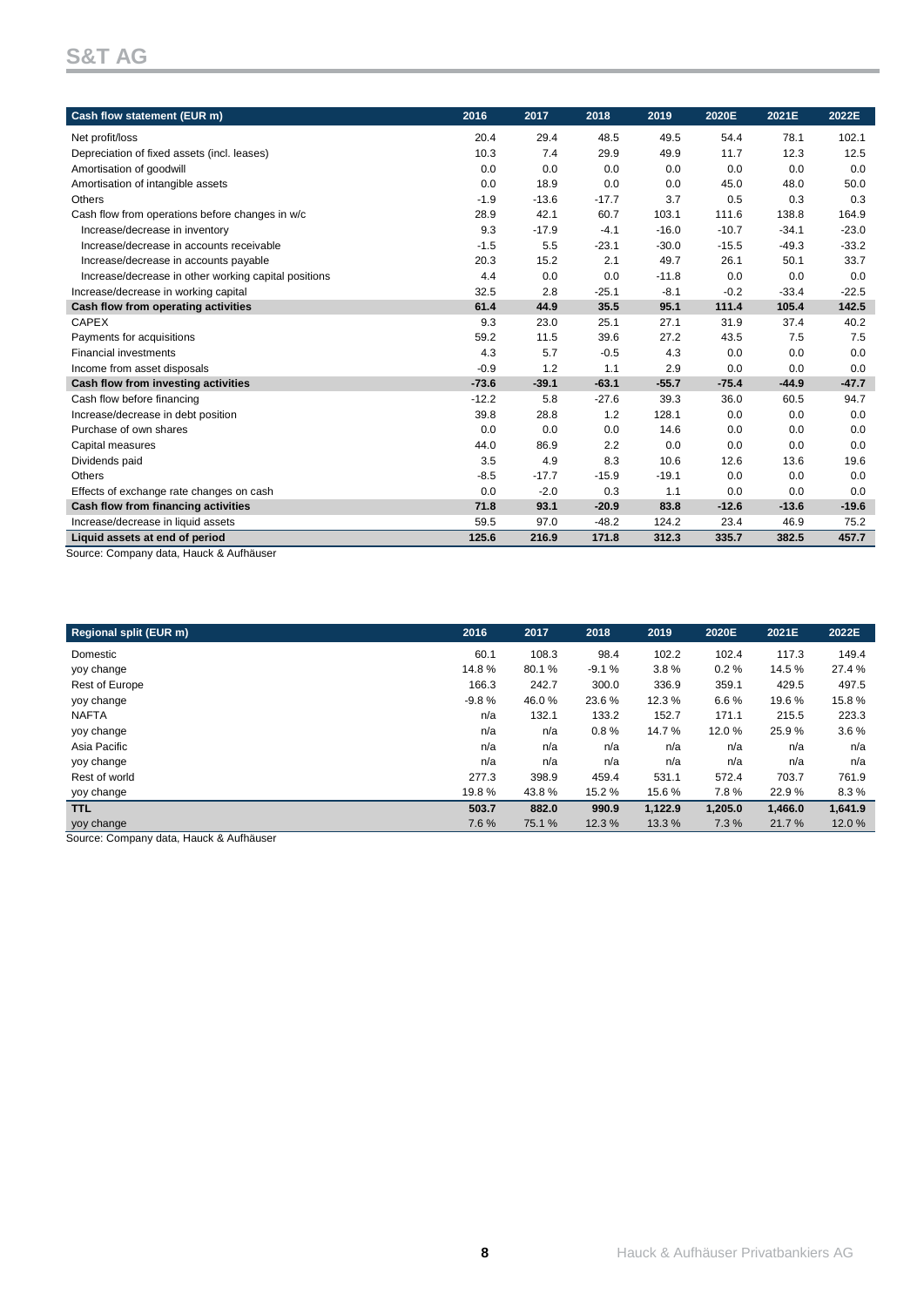# **S&T AG**

| Cash flow statement (EUR m)                                              | 2016    | 2017    | 2018    | 2019    | 2020E   | 2021E   | 2022E   |
|--------------------------------------------------------------------------|---------|---------|---------|---------|---------|---------|---------|
| Net profit/loss                                                          | 20.4    | 29.4    | 48.5    | 49.5    | 54.4    | 78.1    | 102.1   |
| Depreciation of fixed assets (incl. leases)                              | 10.3    | 7.4     | 29.9    | 49.9    | 11.7    | 12.3    | 12.5    |
| Amortisation of goodwill                                                 | 0.0     | 0.0     | 0.0     | 0.0     | 0.0     | 0.0     | 0.0     |
| Amortisation of intangible assets                                        | 0.0     | 18.9    | 0.0     | 0.0     | 45.0    | 48.0    | 50.0    |
| Others                                                                   | $-1.9$  | $-13.6$ | $-17.7$ | 3.7     | 0.5     | 0.3     | 0.3     |
| Cash flow from operations before changes in w/c                          | 28.9    | 42.1    | 60.7    | 103.1   | 111.6   | 138.8   | 164.9   |
| Increase/decrease in inventory                                           | 9.3     | $-17.9$ | $-4.1$  | $-16.0$ | $-10.7$ | $-34.1$ | $-23.0$ |
| Increase/decrease in accounts receivable                                 | $-1.5$  | 5.5     | $-23.1$ | $-30.0$ | $-15.5$ | $-49.3$ | $-33.2$ |
| Increase/decrease in accounts payable                                    | 20.3    | 15.2    | 2.1     | 49.7    | 26.1    | 50.1    | 33.7    |
| Increase/decrease in other working capital positions                     | 4.4     | 0.0     | 0.0     | $-11.8$ | 0.0     | 0.0     | 0.0     |
| Increase/decrease in working capital                                     | 32.5    | 2.8     | $-25.1$ | $-8.1$  | $-0.2$  | $-33.4$ | $-22.5$ |
| Cash flow from operating activities                                      | 61.4    | 44.9    | 35.5    | 95.1    | 111.4   | 105.4   | 142.5   |
| <b>CAPEX</b>                                                             | 9.3     | 23.0    | 25.1    | 27.1    | 31.9    | 37.4    | 40.2    |
| Payments for acquisitions                                                | 59.2    | 11.5    | 39.6    | 27.2    | 43.5    | 7.5     | 7.5     |
| <b>Financial investments</b>                                             | 4.3     | 5.7     | $-0.5$  | 4.3     | 0.0     | 0.0     | 0.0     |
| Income from asset disposals                                              | $-0.9$  | 1.2     | 1.1     | 2.9     | 0.0     | 0.0     | 0.0     |
| Cash flow from investing activities                                      | $-73.6$ | $-39.1$ | $-63.1$ | $-55.7$ | $-75.4$ | $-44.9$ | $-47.7$ |
| Cash flow before financing                                               | $-12.2$ | 5.8     | $-27.6$ | 39.3    | 36.0    | 60.5    | 94.7    |
| Increase/decrease in debt position                                       | 39.8    | 28.8    | 1.2     | 128.1   | 0.0     | 0.0     | 0.0     |
| Purchase of own shares                                                   | 0.0     | 0.0     | 0.0     | 14.6    | 0.0     | 0.0     | 0.0     |
| Capital measures                                                         | 44.0    | 86.9    | 2.2     | 0.0     | 0.0     | 0.0     | 0.0     |
| Dividends paid                                                           | 3.5     | 4.9     | 8.3     | 10.6    | 12.6    | 13.6    | 19.6    |
| Others                                                                   | $-8.5$  | $-17.7$ | $-15.9$ | $-19.1$ | 0.0     | 0.0     | 0.0     |
| Effects of exchange rate changes on cash                                 | 0.0     | $-2.0$  | 0.3     | 1.1     | 0.0     | 0.0     | 0.0     |
| Cash flow from financing activities                                      | 71.8    | 93.1    | $-20.9$ | 83.8    | $-12.6$ | $-13.6$ | $-19.6$ |
| Increase/decrease in liquid assets                                       | 59.5    | 97.0    | $-48.2$ | 124.2   | 23.4    | 46.9    | 75.2    |
| Liquid assets at end of period<br>Source: Company data Hauck & Aufhäuser | 125.6   | 216.9   | 171.8   | 312.3   | 335.7   | 382.5   | 457.7   |

Source: Company data, Hauck & Aufhäuser

| 2016    | 2017   | 2018    | 2019    | 2020E   | 2021E   | 2022E   |
|---------|--------|---------|---------|---------|---------|---------|
| 60.1    | 108.3  | 98.4    | 102.2   | 102.4   | 117.3   | 149.4   |
| 14.8%   | 80.1%  | $-9.1%$ | 3.8%    | 0.2%    | 14.5 %  | 27.4 %  |
| 166.3   | 242.7  | 300.0   | 336.9   | 359.1   | 429.5   | 497.5   |
| $-9.8%$ | 46.0%  | 23.6 %  | 12.3 %  | 6.6%    | 19.6%   | 15.8%   |
| n/a     | 132.1  | 133.2   | 152.7   | 171.1   | 215.5   | 223.3   |
| n/a     | n/a    | 0.8%    | 14.7%   | 12.0%   | 25.9%   | 3.6%    |
| n/a     | n/a    | n/a     | n/a     | n/a     | n/a     | n/a     |
| n/a     | n/a    | n/a     | n/a     | n/a     | n/a     | n/a     |
| 277.3   | 398.9  | 459.4   | 531.1   | 572.4   | 703.7   | 761.9   |
| 19.8%   | 43.8%  | 15.2 %  | 15.6%   | 7.8%    | 22.9%   | 8.3%    |
| 503.7   | 882.0  | 990.9   | 1,122.9 | 1,205.0 | 1,466.0 | 1,641.9 |
| 7.6%    | 75.1 % | 12.3 %  | 13.3 %  | 7.3%    | 21.7%   | 12.0%   |
|         |        |         |         |         |         |         |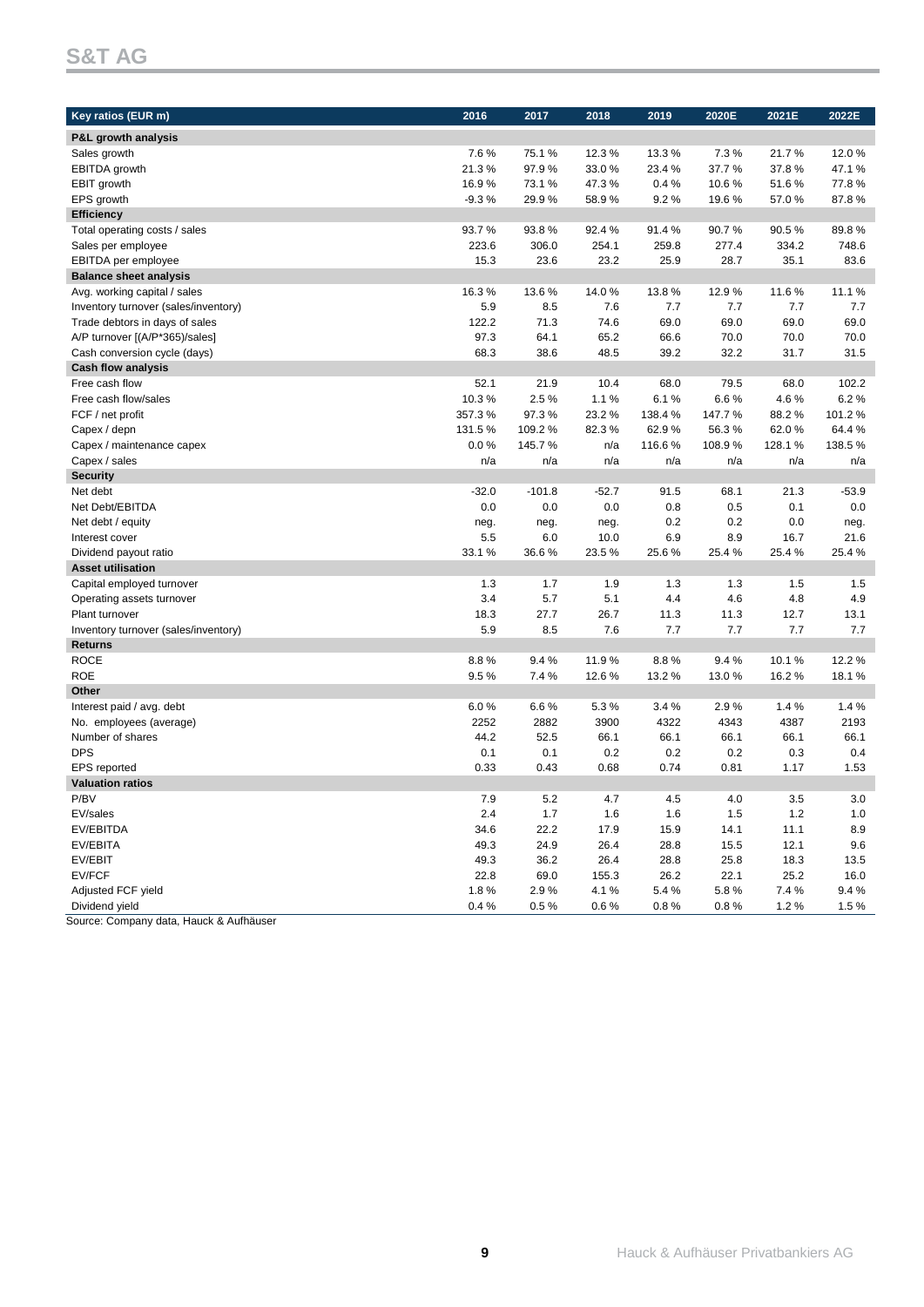# **S&T AG**

| Key ratios (EUR m)                                        | 2016          | 2017      | 2018    | 2019   | 2020E  | 2021E        | 2022E   |
|-----------------------------------------------------------|---------------|-----------|---------|--------|--------|--------------|---------|
| P&L growth analysis                                       |               |           |         |        |        |              |         |
| Sales growth                                              | 7.6%          | 75.1%     | 12.3%   | 13.3%  | 7.3%   | 21.7%        | 12.0%   |
| <b>EBITDA</b> growth                                      | 21.3%         | 97.9%     | 33.0%   | 23.4%  | 37.7%  | 37.8%        | 47.1%   |
| EBIT growth                                               | 16.9%         | 73.1%     | 47.3%   | 0.4%   | 10.6%  | 51.6%        | 77.8%   |
| EPS growth                                                | $-9.3%$       | 29.9%     | 58.9%   | 9.2%   | 19.6%  | 57.0%        | 87.8%   |
| <b>Efficiency</b>                                         |               |           |         |        |        |              |         |
| Total operating costs / sales                             | 93.7%         | 93.8%     | 92.4%   | 91.4%  | 90.7%  | 90.5%        | 89.8%   |
| Sales per employee                                        | 223.6         | 306.0     | 254.1   | 259.8  | 277.4  | 334.2        | 748.6   |
| EBITDA per employee                                       | 15.3          | 23.6      | 23.2    | 25.9   | 28.7   | 35.1         | 83.6    |
| <b>Balance sheet analysis</b>                             |               |           |         |        |        |              |         |
| Avg. working capital / sales                              | 16.3%         | 13.6%     | 14.0%   | 13.8%  | 12.9%  | 11.6%        | 11.1%   |
| Inventory turnover (sales/inventory)                      | 5.9           | 8.5       | 7.6     | 7.7    | 7.7    | 7.7          | 7.7     |
| Trade debtors in days of sales                            | 122.2         | 71.3      | 74.6    | 69.0   | 69.0   | 69.0         | 69.0    |
| A/P turnover [(A/P*365)/sales]                            | 97.3          | 64.1      | 65.2    | 66.6   | 70.0   | 70.0         | 70.0    |
|                                                           | 68.3          | 38.6      | 48.5    | 39.2   | 32.2   | 31.7         | 31.5    |
| Cash conversion cycle (days)<br><b>Cash flow analysis</b> |               |           |         |        |        |              |         |
| Free cash flow                                            |               | 21.9      | 10.4    | 68.0   | 79.5   |              | 102.2   |
| Free cash flow/sales                                      | 52.1<br>10.3% | 2.5%      | 1.1%    | 6.1%   | 6.6%   | 68.0<br>4.6% | 6.2%    |
|                                                           |               | 97.3%     |         |        |        |              | 101.2%  |
| FCF / net profit                                          | 357.3%        |           | 23.2%   | 138.4% | 147.7% | 88.2%        |         |
| Capex / depn                                              | 131.5%        | 109.2%    | 82.3%   | 62.9%  | 56.3%  | 62.0%        | 64.4%   |
| Capex / maintenance capex                                 | $0.0\%$       | 145.7%    | n/a     | 116.6% | 108.9% | 128.1%       | 138.5%  |
| Capex / sales                                             | n/a           | n/a       | n/a     | n/a    | n/a    | n/a          | n/a     |
| <b>Security</b>                                           |               |           |         |        |        |              |         |
| Net debt                                                  | $-32.0$       | $-101.8$  | $-52.7$ | 91.5   | 68.1   | 21.3         | $-53.9$ |
| Net Debt/EBITDA                                           | 0.0           | 0.0       | 0.0     | 0.8    | 0.5    | 0.1          | 0.0     |
| Net debt / equity                                         | neg.          | neg.      | neg.    | 0.2    | 0.2    | 0.0          | neg.    |
| Interest cover                                            | 5.5           | 6.0       | 10.0    | 6.9    | 8.9    | 16.7         | 21.6    |
| Dividend payout ratio                                     | 33.1 %        | 36.6%     | 23.5%   | 25.6%  | 25.4%  | 25.4%        | 25.4%   |
| <b>Asset utilisation</b>                                  |               |           |         |        |        |              |         |
| Capital employed turnover                                 | 1.3           | 1.7       | 1.9     | 1.3    | 1.3    | 1.5          | 1.5     |
| Operating assets turnover                                 | 3.4           | 5.7       | 5.1     | 4.4    | 4.6    | 4.8          | 4.9     |
| Plant turnover                                            | 18.3          | 27.7      | 26.7    | 11.3   | 11.3   | 12.7         | 13.1    |
| Inventory turnover (sales/inventory)                      | 5.9           | 8.5       | 7.6     | 7.7    | 7.7    | 7.7          | 7.7     |
| <b>Returns</b>                                            |               |           |         |        |        |              |         |
| <b>ROCE</b>                                               | 8.8%          | 9.4%      | 11.9%   | 8.8%   | 9.4%   | 10.1%        | 12.2 %  |
| <b>ROE</b>                                                | 9.5%          | 7.4 %     | 12.6%   | 13.2%  | 13.0%  | 16.2%        | 18.1%   |
| Other                                                     |               |           |         |        |        |              |         |
| Interest paid / avg. debt                                 | 6.0%          | 6.6%      | 5.3%    | 3.4%   | 2.9%   | 1.4%         | 1.4%    |
| No. employees (average)                                   | 2252          | 2882      | 3900    | 4322   | 4343   | 4387         | 2193    |
| Number of shares                                          | 44.2          | 52.5      | 66.1    | 66.1   | 66.1   | 66.1         | 66.1    |
| <b>DPS</b>                                                | 0.1           | 0.1       | 0.2     | 0.2    | 0.2    | 0.3          | 0.4     |
| <b>EPS</b> reported                                       | 0.33          | 0.43      | 0.68    | 0.74   | 0.81   | 1.17         | 1.53    |
| <b>Valuation ratios</b>                                   |               |           |         |        |        |              |         |
| P/BV                                                      | 7.9           | 5.2       | 4.7     | 4.5    | 4.0    | $3.5\,$      | $3.0\,$ |
| EV/sales                                                  | 2.4           | 1.7       | 1.6     | 1.6    | 1.5    | $1.2$        | 1.0     |
| EV/EBITDA                                                 | 34.6          | 22.2      | 17.9    | 15.9   | 14.1   | 11.1         | 8.9     |
| EV/EBITA                                                  | 49.3          | 24.9      | 26.4    | 28.8   | 15.5   | 12.1         | 9.6     |
| EV/EBIT                                                   | 49.3          | 36.2      | 26.4    | 28.8   | 25.8   | 18.3         | 13.5    |
| EV/FCF                                                    | 22.8          | 69.0      | 155.3   | 26.2   | 22.1   | 25.2         | 16.0    |
| Adjusted FCF yield                                        | 1.8%          | 2.9%      | 4.1%    | 5.4%   | 5.8%   | 7.4%         | 9.4%    |
| Dividend yield                                            | 0.4%          | $0.5\,\%$ | 0.6%    | 0.8%   | 0.8%   | 1.2%         | 1.5%    |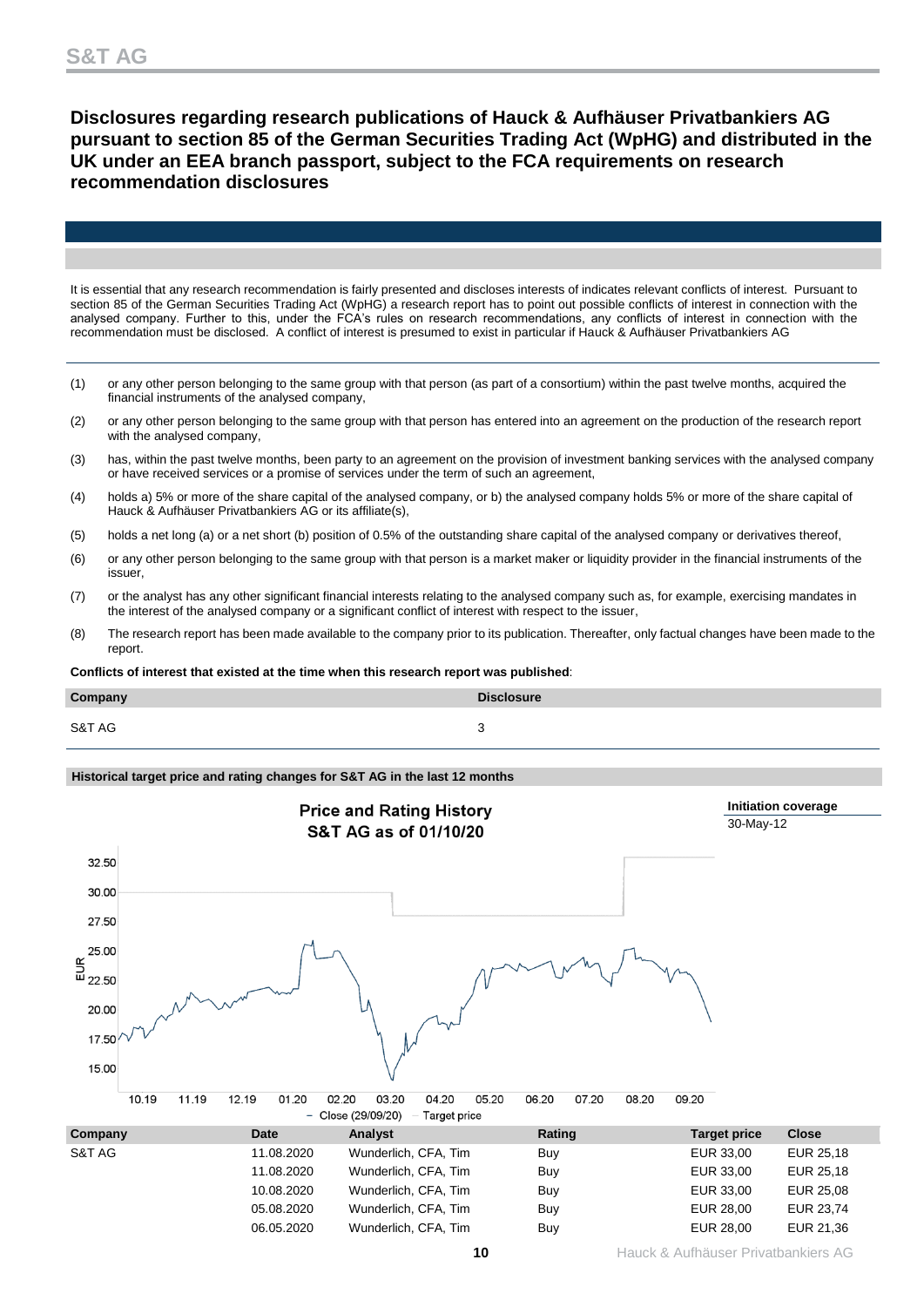# **Disclosures regarding research publications of Hauck & Aufhäuser Privatbankiers AG pursuant to section 85 of the German Securities Trading Act (WpHG) and distributed in the UK under an EEA branch passport, subject to the FCA requirements on research recommendation disclosures**

It is essential that any research recommendation is fairly presented and discloses interests of indicates relevant conflicts of interest. Pursuant to section 85 of the German Securities Trading Act (WpHG) a research report has to point out possible conflicts of interest in connection with the analysed company. Further to this, under the FCA's rules on research recommendations, any conflicts of interest in connection with the recommendation must be disclosed. A conflict of interest is presumed to exist in particular if Hauck & Aufhäuser Privatbankiers AG

- (1) or any other person belonging to the same group with that person (as part of a consortium) within the past twelve months, acquired the financial instruments of the analysed company,
- (2) or any other person belonging to the same group with that person has entered into an agreement on the production of the research report with the analysed company,
- (3) has, within the past twelve months, been party to an agreement on the provision of investment banking services with the analysed company or have received services or a promise of services under the term of such an agreement,
- (4) holds a) 5% or more of the share capital of the analysed company, or b) the analysed company holds 5% or more of the share capital of Hauck & Aufhäuser Privatbankiers AG or its affiliate(s),
- (5) holds a net long (a) or a net short (b) position of 0.5% of the outstanding share capital of the analysed company or derivatives thereof,
- (6) or any other person belonging to the same group with that person is a market maker or liquidity provider in the financial instruments of the issuer,
- (7) or the analyst has any other significant financial interests relating to the analysed company such as, for example, exercising mandates in the interest of the analysed company or a significant conflict of interest with respect to the issuer,
- (8) The research report has been made available to the company prior to its publication. Thereafter, only factual changes have been made to the report.

**Conflicts of interest that existed at the time when this research report was published**:

| Company | <b>Disclosure</b> |
|---------|-------------------|
| S&T AG  |                   |

### **Historical target price and rating changes for S&T AG in the last 12 months**

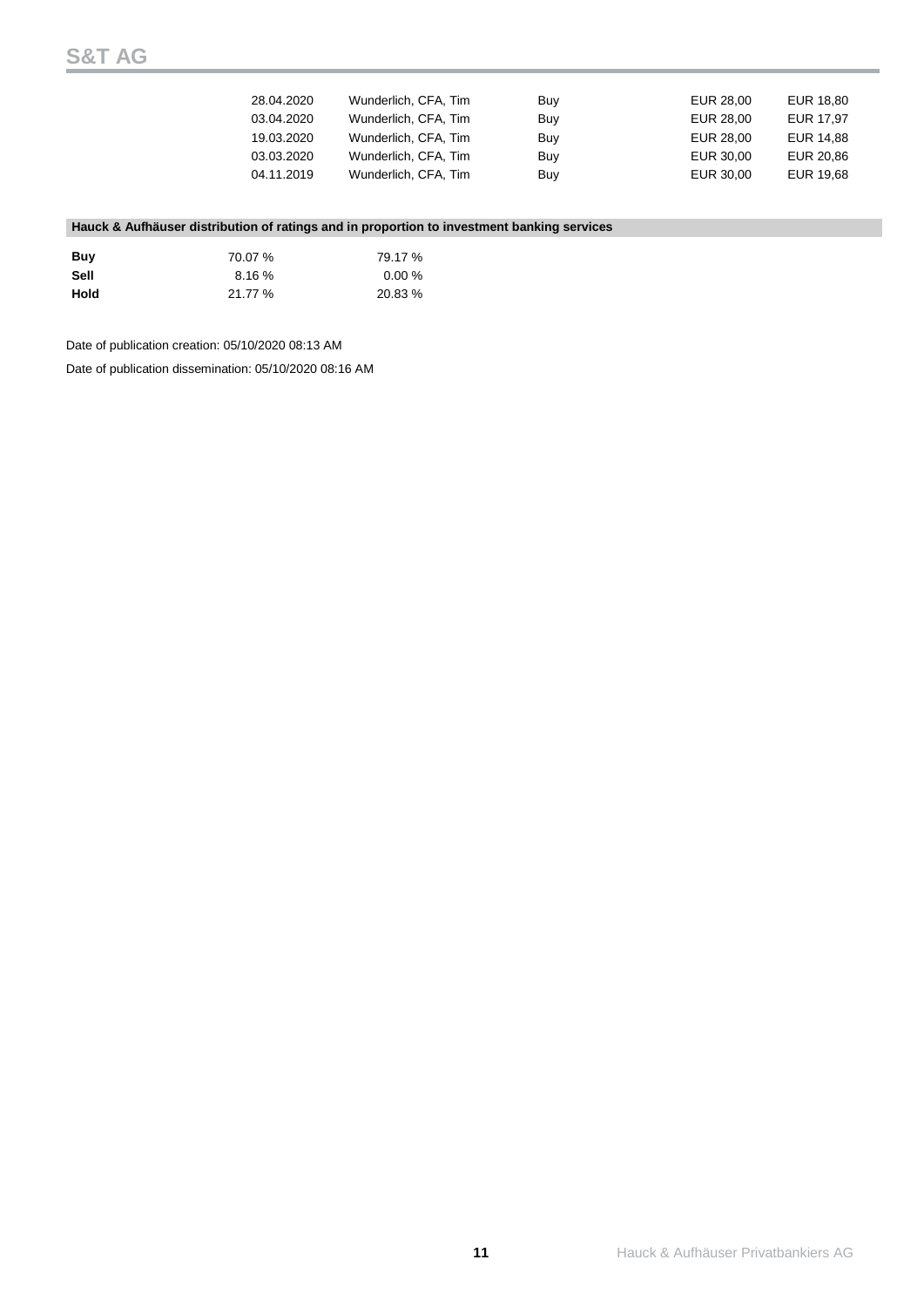| 28.04.2020 | Wunderlich, CFA, Tim | Buy | EUR 28.00 | EUR 18.80 |
|------------|----------------------|-----|-----------|-----------|
| 03.04.2020 | Wunderlich, CFA, Tim | Buv | EUR 28.00 | EUR 17.97 |
| 19.03.2020 | Wunderlich, CFA, Tim | Buv | EUR 28.00 | EUR 14.88 |
| 03.03.2020 | Wunderlich, CFA, Tim | Buv | EUR 30.00 | EUR 20.86 |
| 04.11.2019 | Wunderlich, CFA, Tim | Buy | EUR 30.00 | EUR 19.68 |

## **Hauck & Aufhäuser distribution of ratings and in proportion to investment banking services**

| Buv  | 70.07 % | 79.17 % |
|------|---------|---------|
| Sell | 8.16%   | 0.00%   |
| Hold | 21.77%  | 20.83 % |

Date of publication creation: 05/10/2020 08:13 AM

Date of publication dissemination: 05/10/2020 08:16 AM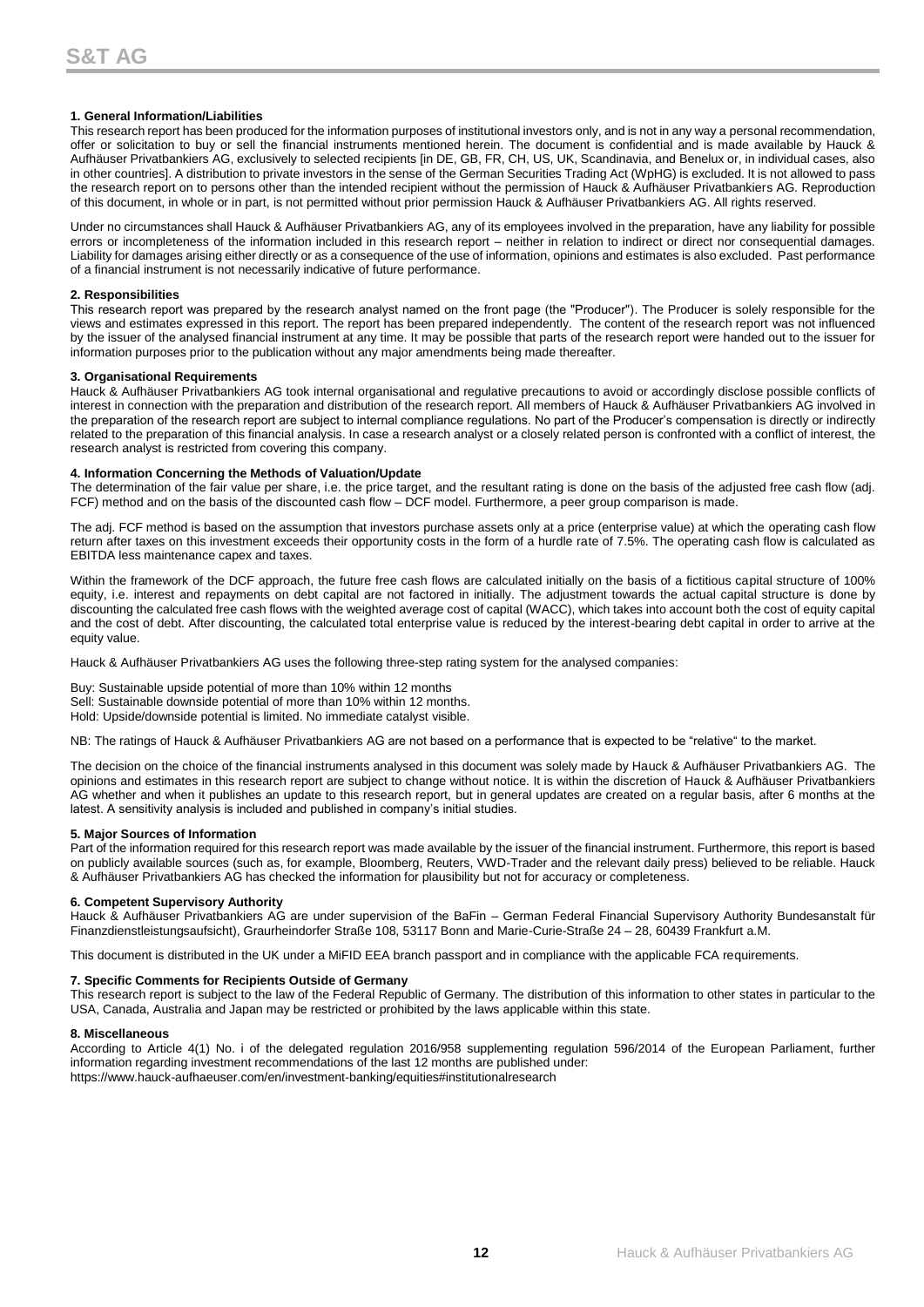### **1. General Information/Liabilities**

This research report has been produced for the information purposes of institutional investors only, and is not in any way a personal recommendation, offer or solicitation to buy or sell the financial instruments mentioned herein. The document is confidential and is made available by Hauck & Aufhäuser Privatbankiers AG, exclusively to selected recipients [in DE, GB, FR, CH, US, UK, Scandinavia, and Benelux or, in individual cases, also in other countries]. A distribution to private investors in the sense of the German Securities Trading Act (WpHG) is excluded. It is not allowed to pass the research report on to persons other than the intended recipient without the permission of Hauck & Aufhäuser Privatbankiers AG. Reproduction of this document, in whole or in part, is not permitted without prior permission Hauck & Aufhäuser Privatbankiers AG. All rights reserved.

Under no circumstances shall Hauck & Aufhäuser Privatbankiers AG, any of its employees involved in the preparation, have any liability for possible errors or incompleteness of the information included in this research report – neither in relation to indirect or direct nor consequential damages. Liability for damages arising either directly or as a consequence of the use of information, opinions and estimates is also excluded. Past performance of a financial instrument is not necessarily indicative of future performance.

#### **2. Responsibilities**

This research report was prepared by the research analyst named on the front page (the "Producer"). The Producer is solely responsible for the views and estimates expressed in this report. The report has been prepared independently. The content of the research report was not influenced by the issuer of the analysed financial instrument at any time. It may be possible that parts of the research report were handed out to the issuer for information purposes prior to the publication without any major amendments being made thereafter.

#### **3. Organisational Requirements**

Hauck & Aufhäuser Privatbankiers AG took internal organisational and regulative precautions to avoid or accordingly disclose possible conflicts of interest in connection with the preparation and distribution of the research report. All members of Hauck & Aufhäuser Privatbankiers AG involved in the preparation of the research report are subject to internal compliance regulations. No part of the Producer's compensation is directly or indirectly related to the preparation of this financial analysis. In case a research analyst or a closely related person is confronted with a conflict of interest, the research analyst is restricted from covering this company.

#### **4. Information Concerning the Methods of Valuation/Update**

The determination of the fair value per share, i.e. the price target, and the resultant rating is done on the basis of the adjusted free cash flow (adj. FCF) method and on the basis of the discounted cash flow – DCF model. Furthermore, a peer group comparison is made.

The adj. FCF method is based on the assumption that investors purchase assets only at a price (enterprise value) at which the operating cash flow return after taxes on this investment exceeds their opportunity costs in the form of a hurdle rate of 7.5%. The operating cash flow is calculated as EBITDA less maintenance capex and taxes.

Within the framework of the DCF approach, the future free cash flows are calculated initially on the basis of a fictitious capital structure of 100% equity, i.e. interest and repayments on debt capital are not factored in initially. The adjustment towards the actual capital structure is done by discounting the calculated free cash flows with the weighted average cost of capital (WACC), which takes into account both the cost of equity capital and the cost of debt. After discounting, the calculated total enterprise value is reduced by the interest-bearing debt capital in order to arrive at the equity value.

Hauck & Aufhäuser Privatbankiers AG uses the following three-step rating system for the analysed companies:

Buy: Sustainable upside potential of more than 10% within 12 months Sell: Sustainable downside potential of more than 10% within 12 months. Hold: Upside/downside potential is limited. No immediate catalyst visible.

NB: The ratings of Hauck & Aufhäuser Privatbankiers AG are not based on a performance that is expected to be "relative" to the market.

The decision on the choice of the financial instruments analysed in this document was solely made by Hauck & Aufhäuser Privatbankiers AG. The opinions and estimates in this research report are subject to change without notice. It is within the discretion of Hauck & Aufhäuser Privatbankiers AG whether and when it publishes an update to this research report, but in general updates are created on a regular basis, after 6 months at the latest. A sensitivity analysis is included and published in company's initial studies.

#### **5. Major Sources of Information**

Part of the information required for this research report was made available by the issuer of the financial instrument. Furthermore, this report is based on publicly available sources (such as, for example, Bloomberg, Reuters, VWD-Trader and the relevant daily press) believed to be reliable. Hauck & Aufhäuser Privatbankiers AG has checked the information for plausibility but not for accuracy or completeness.

### **6. Competent Supervisory Authority**

Hauck & Aufhäuser Privatbankiers AG are under supervision of the BaFin – German Federal Financial Supervisory Authority Bundesanstalt für Finanzdienstleistungsaufsicht), Graurheindorfer Straße 108, 53117 Bonn and Marie-Curie-Straße 24 – 28, 60439 Frankfurt a.M.

This document is distributed in the UK under a MiFID EEA branch passport and in compliance with the applicable FCA requirements.

### **7. Specific Comments for Recipients Outside of Germany**

This research report is subject to the law of the Federal Republic of Germany. The distribution of this information to other states in particular to the USA, Canada, Australia and Japan may be restricted or prohibited by the laws applicable within this state.

#### **8. Miscellaneous**

According to Article 4(1) No. i of the delegated regulation 2016/958 supplementing regulation 596/2014 of the European Parliament, further information regarding investment recommendations of the last 12 months are published under: https://www.hauck-aufhaeuser.com/en/investment-banking/equities#institutionalresearch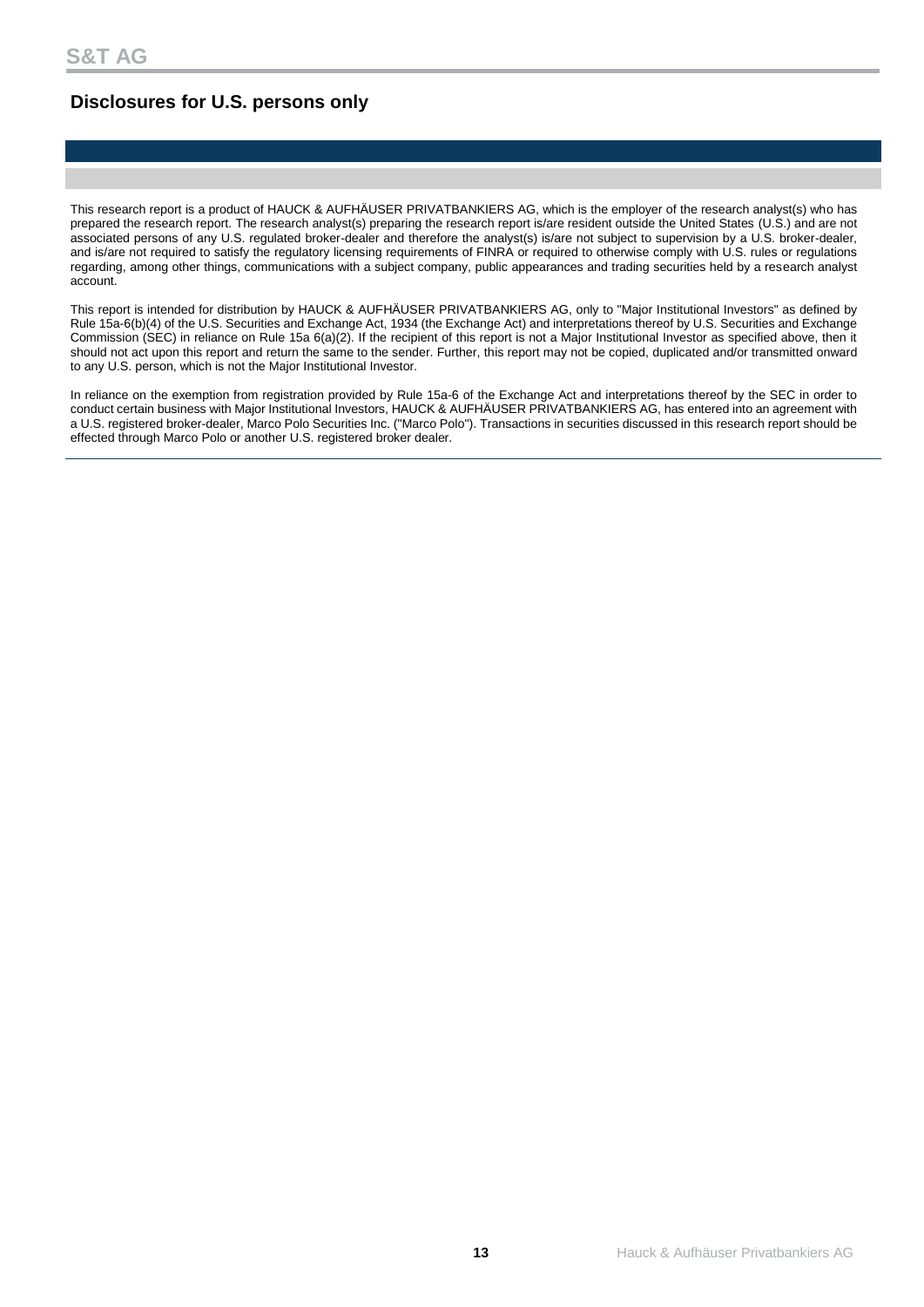# **Disclosures for U.S. persons only**

This research report is a product of HAUCK & AUFHÄUSER PRIVATBANKIERS AG, which is the employer of the research analyst(s) who has prepared the research report. The research analyst(s) preparing the research report is/are resident outside the United States (U.S.) and are not associated persons of any U.S. regulated broker-dealer and therefore the analyst(s) is/are not subject to supervision by a U.S. broker-dealer, and is/are not required to satisfy the regulatory licensing requirements of FINRA or required to otherwise comply with U.S. rules or regulations regarding, among other things, communications with a subject company, public appearances and trading securities held by a research analyst account.

This report is intended for distribution by HAUCK & AUFHÄUSER PRIVATBANKIERS AG, only to "Major Institutional Investors" as defined by Rule 15a-6(b)(4) of the U.S. Securities and Exchange Act, 1934 (the Exchange Act) and interpretations thereof by U.S. Securities and Exchange Commission (SEC) in reliance on Rule 15a 6(a)(2). If the recipient of this report is not a Major Institutional Investor as specified above, then it should not act upon this report and return the same to the sender. Further, this report may not be copied, duplicated and/or transmitted onward to any U.S. person, which is not the Major Institutional Investor.

In reliance on the exemption from registration provided by Rule 15a-6 of the Exchange Act and interpretations thereof by the SEC in order to conduct certain business with Major Institutional Investors, HAUCK & AUFHÄUSER PRIVATBANKIERS AG, has entered into an agreement with a U.S. registered broker-dealer, Marco Polo Securities Inc. ("Marco Polo"). Transactions in securities discussed in this research report should be effected through Marco Polo or another U.S. registered broker dealer.